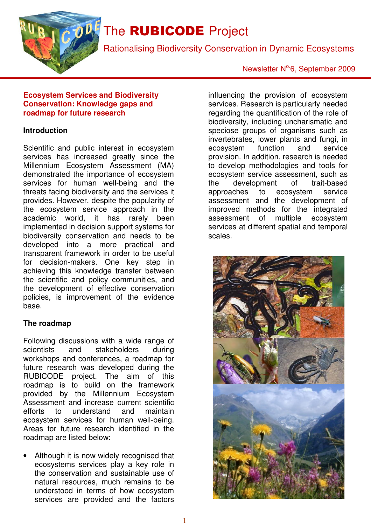

# The **RUBICODE** Project

Rationalising Biodiversity Conservation in Dynamic Ecosystems

### Newsletter Nº6, September 2009

#### **Ecosystem Services and Biodiversity Conservation: Knowledge gaps and roadmap for future research**

#### **Introduction**

Scientific and public interest in ecosystem services has increased greatly since the Millennium Ecosystem Assessment (MA) demonstrated the importance of ecosystem services for human well-being and the threats facing biodiversity and the services it provides. However, despite the popularity of the ecosystem service approach in the academic world, it has rarely been implemented in decision support systems for biodiversity conservation and needs to be developed into a more practical and transparent framework in order to be useful for decision-makers. One key step in achieving this knowledge transfer between the scientific and policy communities, and the development of effective conservation policies, is improvement of the evidence base.

#### **The roadmap**

Following discussions with a wide range of scientists and stakeholders during workshops and conferences, a roadmap for future research was developed during the RUBICODE project. The aim of this roadmap is to build on the framework provided by the Millennium Ecosystem Assessment and increase current scientific<br>efforts to understand and maintain to understand and maintain ecosystem services for human well-being. Areas for future research identified in the roadmap are listed below:

Although it is now widely recognised that ecosystems services play a key role in the conservation and sustainable use of natural resources, much remains to be understood in terms of how ecosystem services are provided and the factors

influencing the provision of ecosystem services. Research is particularly needed regarding the quantification of the role of biodiversity, including uncharismatic and speciose groups of organisms such as invertebrates, lower plants and fungi, in ecosystem function and service provision. In addition, research is needed to develop methodologies and tools for ecosystem service assessment, such as the development of trait-based approaches to ecosystem service assessment and the development of improved methods for the integrated assessment of multiple ecosystem services at different spatial and temporal scales.

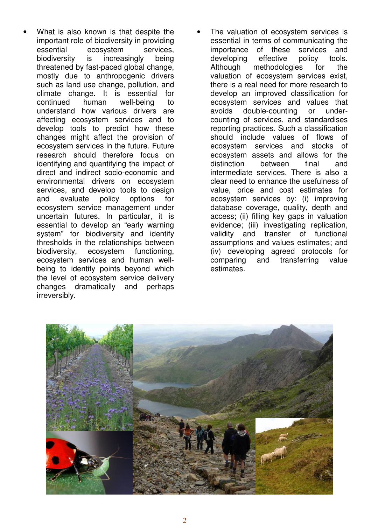- What is also known is that despite the important role of biodiversity in providing essential ecosystem services, biodiversity is increasingly being threatened by fast-paced global change, mostly due to anthropogenic drivers such as land use change, pollution, and climate change. It is essential for continued human well-being to understand how various drivers are affecting ecosystem services and to develop tools to predict how these changes might affect the provision of ecosystem services in the future. Future research should therefore focus on identifying and quantifying the impact of direct and indirect socio-economic and environmental drivers on ecosystem services, and develop tools to design and evaluate policy options for ecosystem service management under uncertain futures. In particular, it is essential to develop an "early warning system" for biodiversity and identify thresholds in the relationships between biodiversity, ecosystem functioning, ecosystem services and human wellbeing to identify points beyond which the level of ecosystem service delivery changes dramatically and perhaps irreversibly.
- The valuation of ecosystem services is essential in terms of communicating the importance of these services and developing effective policy tools. Although methodologies for the valuation of ecosystem services exist, there is a real need for more research to develop an improved classification for ecosystem services and values that avoids double-counting or undercounting of services, and standardises reporting practices. Such a classification should include values of flows of ecosystem services and stocks of ecosystem assets and allows for the distinction between final and intermediate services. There is also a clear need to enhance the usefulness of value, price and cost estimates for ecosystem services by: (i) improving database coverage, quality, depth and access; (ii) filling key gaps in valuation evidence; (iii) investigating replication, validity and transfer of functional assumptions and values estimates; and (iv) developing agreed protocols for comparing and transferring value estimates.